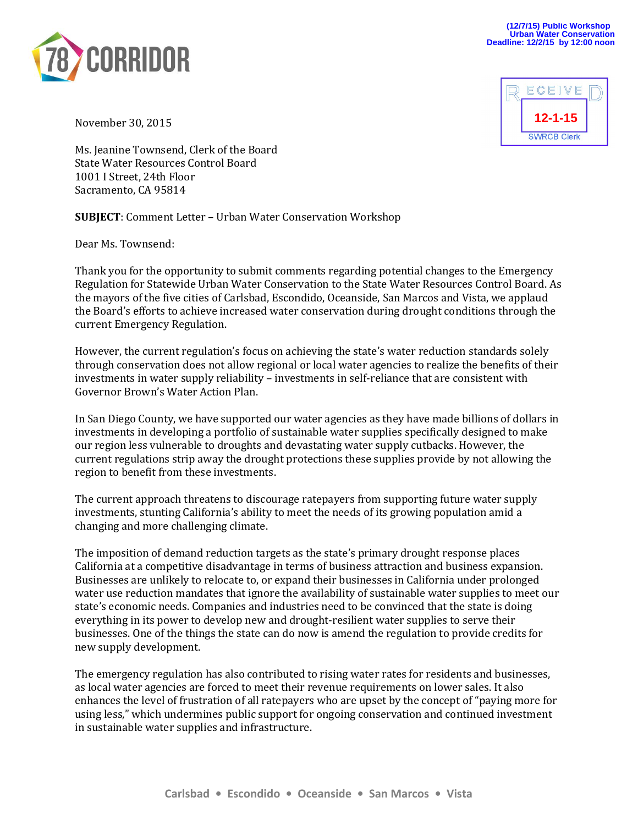



November 30, 2015

Ms. Jeanine Townsend, Clerk of the Board State Water Resources Control Board 1001 I Street, 24th Floor Sacramento, CA 95814

**SUBJECT**: Comment Letter – Urban Water Conservation Workshop

Dear Ms. Townsend:

Thank you for the opportunity to submit comments regarding potential changes to the Emergency Regulation for Statewide Urban Water Conservation to the State Water Resources Control Board. As the mayors of the five cities of Carlsbad, Escondido, Oceanside, San Marcos and Vista, we applaud the Board's efforts to achieve increased water conservation during drought conditions through the current Emergency Regulation.

However, the current regulation's focus on achieving the state's water reduction standards solely through conservation does not allow regional or local water agencies to realize the benefits of their investments in water supply reliability – investments in self-reliance that are consistent with Governor Brown's Water Action Plan.

In San Diego County, we have supported our water agencies as they have made billions of dollars in investments in developing a portfolio of sustainable water supplies specifically designed to make our region less vulnerable to droughts and devastating water supply cutbacks. However, the current regulations strip away the drought protections these supplies provide by not allowing the region to benefit from these investments.

The current approach threatens to discourage ratepayers from supporting future water supply investments, stunting California's ability to meet the needs of its growing population amid a changing and more challenging climate.

The imposition of demand reduction targets as the state's primary drought response places California at a competitive disadvantage in terms of business attraction and business expansion. Businesses are unlikely to relocate to, or expand their businesses in California under prolonged water use reduction mandates that ignore the availability of sustainable water supplies to meet our state's economic needs. Companies and industries need to be convinced that the state is doing everything in its power to develop new and drought-resilient water supplies to serve their businesses. One of the things the state can do now is amend the regulation to provide credits for new supply development.

The emergency regulation has also contributed to rising water rates for residents and businesses, as local water agencies are forced to meet their revenue requirements on lower sales. It also enhances the level of frustration of all ratepayers who are upset by the concept of "paying more for using less," which undermines public support for ongoing conservation and continued investment in sustainable water supplies and infrastructure.